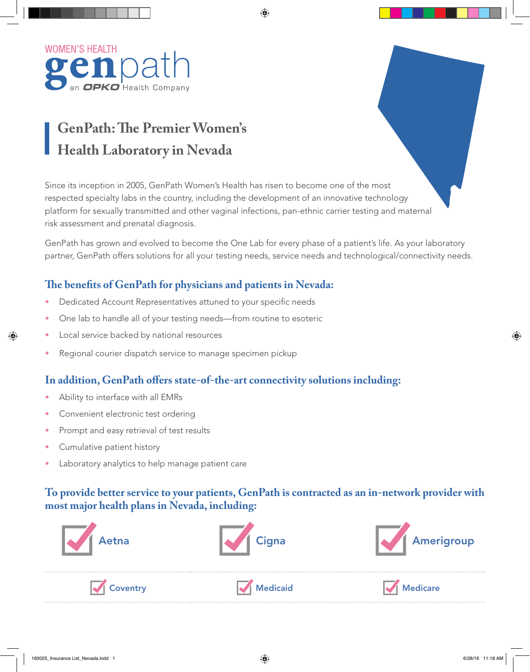

# **GenPath: The Premier Women's Health Laboratory in Nevada**

Since its inception in 2005, GenPath Women's Health has risen to become one of the most respected specialty labs in the country, including the development of an innovative technology platform for sexually transmitted and other vaginal infections, pan-ethnic carrier testing and maternal risk assessment and prenatal diagnosis.

GenPath has grown and evolved to become the One Lab for every phase of a patient's life. As your laboratory partner, GenPath offers solutions for all your testing needs, service needs and technological/connectivity needs.

### **The benefits of GenPath for physicians and patients in Nevada:**

- Dedicated Account Representatives attuned to your specific needs
- One lab to handle all of your testing needs—from routine to esoteric
- Local service backed by national resources
- Regional courier dispatch service to manage specimen pickup

#### **In addition, GenPath offers state-of-the-art connectivity solutions including:**

- Ability to interface with all EMRs
- Convenient electronic test ordering
- Prompt and easy retrieval of test results
- Cumulative patient history
- Laboratory analytics to help manage patient care

### **To provide better service to your patients, GenPath is contracted as an in-network provider with most major health plans in Nevada, including:**